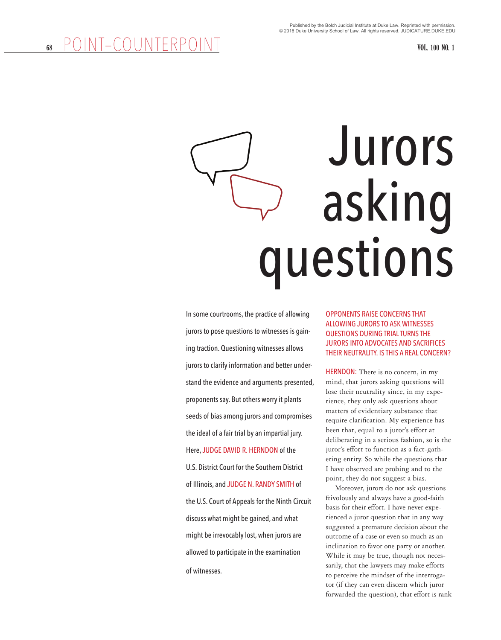# Jurors asking questions

In some courtrooms, the practice of allowing jurors to pose questions to witnesses is gaining traction. Questioning witnesses allows jurors to clarify information and better understand the evidence and arguments presented, proponents say. But others worry it plants seeds of bias among jurors and compromises the ideal of a fair trial by an impartial jury. Here, JUDGE DAVID R. HERNDON of the U.S. District Court for the Southern District of Illinois, and JUDGE N. RANDY SMITH of the U.S. Court of Appeals for the Ninth Circuit discuss what might be gained, and what might be irrevocably lost, when jurors are allowed to participate in the examination of witnesses.

# OPPONENTS RAISE CONCERNS THAT ALLOWING JURORS TO ASK WITNESSES QUESTIONS DURING TRIAL TURNS THE JURORS INTO ADVOCATES AND SACRIFICES THEIR NEUTRALITY. IS THIS A REAL CONCERN?

HERNDON: There is no concern, in my mind, that jurors asking questions will lose their neutrality since, in my experience, they only ask questions about matters of evidentiary substance that require clarification. My experience has been that, equal to a juror's effort at deliberating in a serious fashion, so is the juror's effort to function as a fact-gathering entity. So while the questions that I have observed are probing and to the point, they do not suggest a bias.

Moreover, jurors do not ask questions frivolously and always have a good-faith basis for their effort. I have never experienced a juror question that in any way suggested a premature decision about the outcome of a case or even so much as an inclination to favor one party or another. While it may be true, though not necessarily, that the lawyers may make efforts to perceive the mindset of the interrogator (if they can even discern which juror forwarded the question), that effort is rank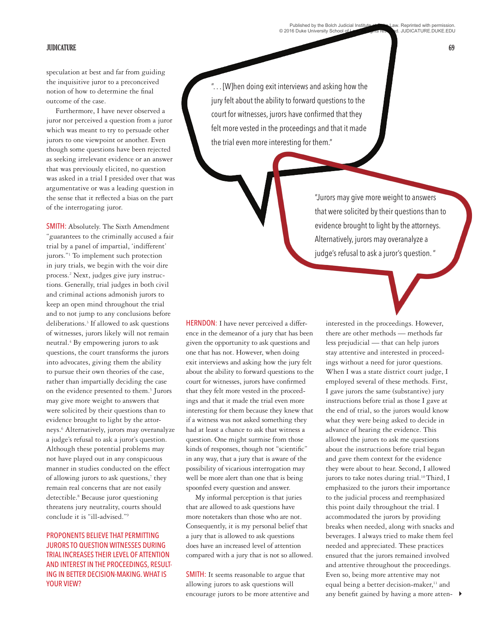Published by the Bolch Judicial Institute at Duke Law. Reprinted with permission.<br>© 2016 Duke University School of Law. All rights reserved. JUDICATURE.DUKE.EDU

#### **JUDICATURE 69**

speculation at best and far from guiding the inquisitive juror to a preconceived notion of how to determine the final outcome of the case.

Furthermore, I have never observed a juror nor perceived a question from a juror which was meant to try to persuade other jurors to one viewpoint or another. Even though some questions have been rejected as seeking irrelevant evidence or an answer that was previously elicited, no question was asked in a trial I presided over that was argumentative or was a leading question in the sense that it reflected a bias on the part of the interrogating juror.

SMITH: Absolutely. The Sixth Amendment "guarantees to the criminally accused a fair trial by a panel of impartial, 'indifferent' jurors."1 To implement such protection in jury trials, we begin with the voir dire process.2 Next, judges give jury instructions. Generally, trial judges in both civil and criminal actions admonish jurors to keep an open mind throughout the trial and to not jump to any conclusions before deliberations.3 If allowed to ask questions of witnesses, jurors likely will not remain neutral.4 By empowering jurors to ask questions, the court transforms the jurors into advocates, giving them the ability to pursue their own theories of the case, rather than impartially deciding the case on the evidence presented to them.<sup>5</sup> Jurors may give more weight to answers that were solicited by their questions than to evidence brought to light by the attorneys.6 Alternatively, jurors may overanalyze a judge's refusal to ask a juror's question. Although these potential problems may not have played out in any conspicuous manner in studies conducted on the effect of allowing jurors to ask questions,7 they remain real concerns that are not easily detectible.<sup>8</sup> Because juror questioning threatens jury neutrality, courts should conclude it is "ill-advised."9

# PROPONENTS BELIEVE THAT PERMITTING JURORS TO QUESTION WITNESSES DURING TRIAL INCREASES THEIR LEVEL OF ATTENTION AND INTEREST IN THE PROCEEDINGS, RESULT-ING IN BETTER DECISION-MAKING. WHAT IS YOUR VIEW?

". . . [W]hen doing exit interviews and asking how the jury felt about the ability to forward questions to the court for witnesses, jurors have confirmed that they felt more vested in the proceedings and that it made the trial even more interesting for them."

> "Jurors may give more weight to answers that were solicited by their questions than to evidence brought to light by the attorneys. Alternatively, jurors may overanalyze a judge's refusal to ask a juror's question. "

HERNDON: I have never perceived a difference in the demeanor of a jury that has been given the opportunity to ask questions and one that has not. However, when doing exit interviews and asking how the jury felt about the ability to forward questions to the court for witnesses, jurors have confirmed that they felt more vested in the proceedings and that it made the trial even more interesting for them because they knew that if a witness was not asked something they had at least a chance to ask that witness a question. One might surmise from those kinds of responses, though not "scientific" in any way, that a jury that is aware of the possibility of vicarious interrogation may well be more alert than one that is being spoonfed every question and answer.

My informal perception is that juries that are allowed to ask questions have more notetakers than those who are not. Consequently, it is my personal belief that a jury that is allowed to ask questions does have an increased level of attention compared with a jury that is not so allowed.

SMITH: It seems reasonable to argue that allowing jurors to ask questions will encourage jurors to be more attentive and interested in the proceedings. However, there are other methods — methods far less prejudicial — that can help jurors stay attentive and interested in proceedings without a need for juror questions. When I was a state district court judge, I employed several of these methods. First, I gave jurors the same (substantive) jury instructions before trial as those I gave at the end of trial, so the jurors would know what they were being asked to decide in advance of hearing the evidence. This allowed the jurors to ask me questions about the instructions before trial began and gave them context for the evidence they were about to hear. Second, I allowed jurors to take notes during trial.<sup>10</sup> Third, I emphasized to the jurors their importance to the judicial process and reemphasized this point daily throughout the trial. I accommodated the jurors by providing breaks when needed, along with snacks and beverages. I always tried to make them feel needed and appreciated. These practices ensured that the jurors remained involved and attentive throughout the proceedings. Even so, being more attentive may not equal being a better decision-maker,<sup>11</sup> and any benefit gained by having a more atten- 4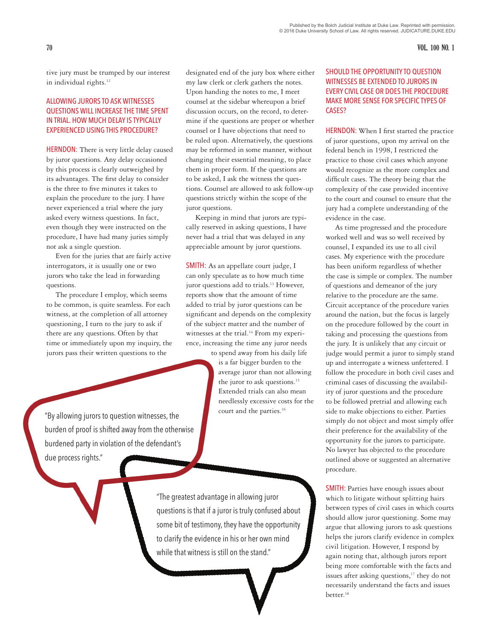**70 VOL. 100 NO. 1**

tive jury must be trumped by our interest in individual rights.<sup>12</sup>

### ALLOWING JURORS TO ASK WITNESSES QUESTIONS WILL INCREASE THE TIME SPENT IN TRIAL. HOW MUCH DELAY IS TYPICALLY EXPERIENCED USING THIS PROCEDURE?

HERNDON: There is very little delay caused by juror questions. Any delay occasioned by this process is clearly outweighed by its advantages. The first delay to consider is the three to five minutes it takes to explain the procedure to the jury. I have never experienced a trial where the jury asked every witness questions. In fact, even though they were instructed on the procedure, I have had many juries simply not ask a single question.

Even for the juries that are fairly active interrogators, it is usually one or two jurors who take the lead in forwarding questions.

The procedure I employ, which seems to be common, is quite seamless. For each witness, at the completion of all attorney questioning, I turn to the jury to ask if there are any questions. Often by that time or immediately upon my inquiry, the jurors pass their written questions to the

designated end of the jury box where either my law clerk or clerk gathers the notes. Upon handing the notes to me, I meet counsel at the sidebar whereupon a brief discussion occurs, on the record, to determine if the questions are proper or whether counsel or I have objections that need to be ruled upon. Alternatively, the questions may be reformed in some manner, without changing their essential meaning, to place them in proper form. If the questions are to be asked, I ask the witness the questions. Counsel are allowed to ask follow-up questions strictly within the scope of the juror questions.

Keeping in mind that jurors are typically reserved in asking questions, I have never had a trial that was delayed in any appreciable amount by juror questions.

SMITH: As an appellate court judge, I can only speculate as to how much time juror questions add to trials.13 However, reports show that the amount of time added to trial by juror questions can be significant and depends on the complexity of the subject matter and the number of witnesses at the trial.<sup>14</sup> From my experience, increasing the time any juror needs

> to spend away from his daily life is a far bigger burden to the average juror than not allowing the juror to ask questions.15 Extended trials can also mean needlessly excessive costs for the court and the parties.<sup>16</sup>

"The greatest advantage in allowing juror questions is that if a juror is truly confused about some bit of testimony, they have the opportunity

to clarify the evidence in his or her own mind while that witness is still on the stand."

## SHOULD THE OPPORTUNITY TO QUESTION WITNESSES BE EXTENDED TO JURORS IN EVERY CIVIL CASE OR DOES THE PROCEDURE MAKE MORE SENSE FOR SPECIFIC TYPES OF CASES?

HERNDON: When I first started the practice of juror questions, upon my arrival on the federal bench in 1998, I restricted the practice to those civil cases which anyone would recognize as the more complex and difficult cases. The theory being that the complexity of the case provided incentive to the court and counsel to ensure that the jury had a complete understanding of the evidence in the case.

As time progressed and the procedure worked well and was so well received by counsel, I expanded its use to all civil cases. My experience with the procedure has been uniform regardless of whether the case is simple or complex. The number of questions and demeanor of the jury relative to the procedure are the same. Circuit acceptance of the procedure varies around the nation, but the focus is largely on the procedure followed by the court in taking and processing the questions from the jury. It is unlikely that any circuit or judge would permit a juror to simply stand up and interrogate a witness unfettered. I follow the procedure in both civil cases and criminal cases of discussing the availability of juror questions and the procedure to be followed pretrial and allowing each side to make objections to either. Parties simply do not object and most simply offer their preference for the availability of the opportunity for the jurors to participate. No lawyer has objected to the procedure outlined above or suggested an alternative procedure.

SMITH: Parties have enough issues about which to litigate without splitting hairs between types of civil cases in which courts should allow juror questioning. Some may argue that allowing jurors to ask questions helps the jurors clarify evidence in complex civil litigation. However, I respond by again noting that, although jurors report being more comfortable with the facts and issues after asking questions,<sup>17</sup> they do not necessarily understand the facts and issues better.<sup>18</sup>

"By allowing jurors to question witnesses, the burden of proof is shifted away from the otherwise burdened party in violation of the defendant's due process rights."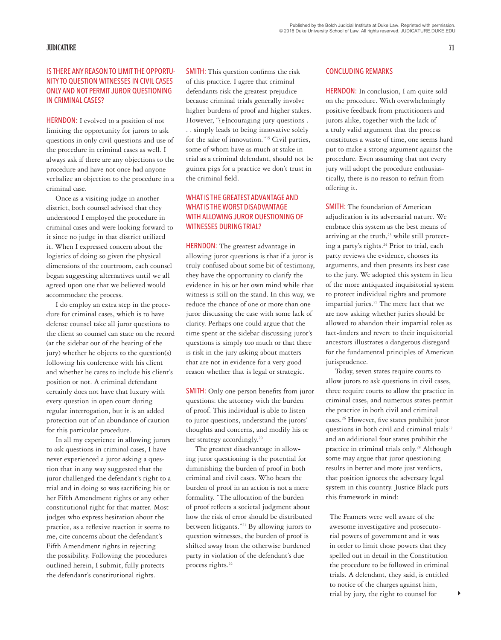#### **JUDICATURE 71**

# IS THERE ANY REASON TO LIMIT THE OPPORTU-NITY TO QUESTION WITNESSES IN CIVIL CASES ONLY AND NOT PERMIT JUROR QUESTIONING IN CRIMINAL CASES?

HERNDON: I evolved to a position of not limiting the opportunity for jurors to ask questions in only civil questions and use of the procedure in criminal cases as well. I always ask if there are any objections to the procedure and have not once had anyone verbalize an objection to the procedure in a criminal case.

Once as a visiting judge in another district, both counsel advised that they understood I employed the procedure in criminal cases and were looking forward to it since no judge in that district utilized it. When I expressed concern about the logistics of doing so given the physical dimensions of the courtroom, each counsel began suggesting alternatives until we all agreed upon one that we believed would accommodate the process.

I do employ an extra step in the procedure for criminal cases, which is to have defense counsel take all juror questions to the client so counsel can state on the record (at the sidebar out of the hearing of the jury) whether he objects to the question(s) following his conference with his client and whether he cares to include his client's position or not. A criminal defendant certainly does not have that luxury with every question in open court during regular interrogation, but it is an added protection out of an abundance of caution for this particular procedure.

In all my experience in allowing jurors to ask questions in criminal cases, I have never experienced a juror asking a question that in any way suggested that the juror challenged the defendant's right to a trial and in doing so was sacrificing his or her Fifth Amendment rights or any other constitutional right for that matter. Most judges who express hesitation about the practice, as a reflexive reaction it seems to me, cite concerns about the defendant's Fifth Amendment rights in rejecting the possibility. Following the procedures outlined herein, I submit, fully protects the defendant's constitutional rights.

SMITH: This question confirms the risk of this practice. I agree that criminal defendants risk the greatest prejudice because criminal trials generally involve higher burdens of proof and higher stakes. However, "[e]ncouraging jury questions . . . simply leads to being innovative solely for the sake of innovation."19 Civil parties, some of whom have as much at stake in trial as a criminal defendant, should not be guinea pigs for a practice we don't trust in the criminal field.

# WHAT IS THE GREATEST ADVANTAGE AND WHAT IS THE WORST DISADVANTAGE WITH ALLOWING JUROR QUESTIONING OF WITNESSES DURING TRIAL?

HERNDON: The greatest advantage in allowing juror questions is that if a juror is truly confused about some bit of testimony, they have the opportunity to clarify the evidence in his or her own mind while that witness is still on the stand. In this way, we reduce the chance of one or more than one juror discussing the case with some lack of clarity. Perhaps one could argue that the time spent at the sidebar discussing juror's questions is simply too much or that there is risk in the jury asking about matters that are not in evidence for a very good reason whether that is legal or strategic.

SMITH: Only one person benefits from juror questions: the attorney with the burden of proof. This individual is able to listen to juror questions, understand the jurors' thoughts and concerns, and modify his or her strategy accordingly.<sup>20</sup>

The greatest disadvantage in allowing juror questioning is the potential for diminishing the burden of proof in both criminal and civil cases. Who bears the burden of proof in an action is not a mere formality. "The allocation of the burden of proof reflects a societal judgment about how the risk of error should be distributed between litigants."21 By allowing jurors to question witnesses, the burden of proof is shifted away from the otherwise burdened party in violation of the defendant's due process rights.<sup>22</sup>

#### CONCLUDING REMARKS

HERNDON: In conclusion, I am quite sold on the procedure. With overwhelmingly positive feedback from practitioners and jurors alike, together with the lack of a truly valid argument that the process constitutes a waste of time, one seems hard put to make a strong argument against the procedure. Even assuming that not every jury will adopt the procedure enthusiastically, there is no reason to refrain from offering it.

SMITH: The foundation of American adjudication is its adversarial nature. We embrace this system as the best means of arriving at the truth, $23$  while still protecting a party's rights.<sup>24</sup> Prior to trial, each party reviews the evidence, chooses its arguments, and then presents its best case to the jury. We adopted this system in lieu of the more antiquated inquisitorial system to protect individual rights and promote impartial juries.<sup>25</sup> The mere fact that we are now asking whether juries should be allowed to abandon their impartial roles as fact-finders and revert to their inquisitorial ancestors illustrates a dangerous disregard for the fundamental principles of American jurisprudence.

Today, seven states require courts to allow jurors to ask questions in civil cases, three require courts to allow the practice in criminal cases, and numerous states permit the practice in both civil and criminal cases.26 However, five states prohibit juror questions in both civil and criminal trials<sup>27</sup> and an additional four states prohibit the practice in criminal trials only.<sup>28</sup> Although some may argue that juror questioning results in better and more just verdicts, that position ignores the adversary legal system in this country. Justice Black puts this framework in mind:

The Framers were well aware of the awesome investigative and prosecutorial powers of government and it was in order to limit those powers that they spelled out in detail in the Constitution the procedure to be followed in criminal trials. A defendant, they said, is entitled to notice of the charges against him, trial by jury, the right to counsel for  $\qquad \blacktriangleright$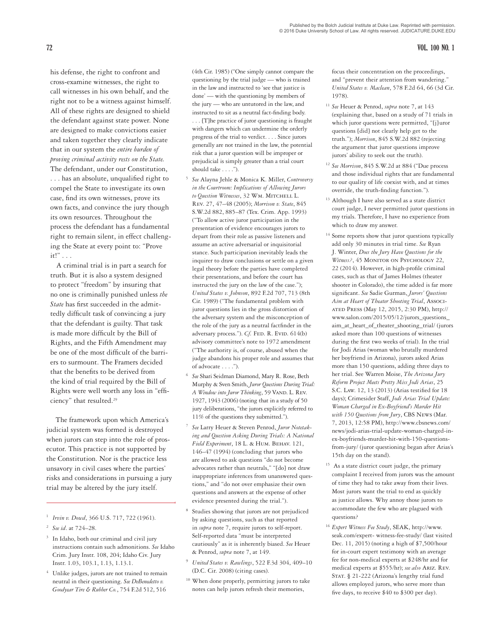his defense, the right to confront and cross-examine witnesses, the right to call witnesses in his own behalf, and the right not to be a witness against himself. All of these rights are designed to shield the defendant against state power. None are designed to make convictions easier and taken together they clearly indicate that in our system the *entire burden of proving criminal activity rests on the State.* The defendant, under our Constitution, . . . has an absolute, unqualified right to compel the State to investigate its own case, find its own witnesses, prove its own facts, and convince the jury though its own resources. Throughout the process the defendant has a fundamental right to remain silent, in effect challenging the State at every point to: "Prove it!" . . .

A criminal trial is in part a search for truth. But it is also a system designed to protect "freedom" by insuring that no one is criminally punished unless *the State* has first succeeded in the admittedly difficult task of convincing a jury that the defendant is guilty. That task is made more difficult by the Bill of Rights, and the Fifth Amendment may be one of the most difficult of the barriers to surmount. The Framers decided that the benefits to be derived from the kind of trial required by the Bill of Rights were well worth any loss in "efficiency" that resulted.<sup>29</sup>

The framework upon which America's judicial system was formed is destroyed when jurors can step into the role of prosecutor. This practice is not supported by the Constitution. Nor is the practice less unsavory in civil cases where the parties' risks and considerations in pursuing a jury trial may be altered by the jury itself.

<sup>3</sup> In Idaho, both our criminal and civil jury instructions contain such admonitions. *See* Idaho Crim. Jury Instr. 108, 204; Idaho Civ. Jury Instr. 1.03, 103.1, 1.13, 1.13.1.

Unlike judges, jurors are not trained to remain neutral in their questioning. *See DeBenedetto v. Goodyear Tire & Rubber Co.*, 754 F.2d 512, 516

(4th Cir. 1985) ("One simply cannot compare the questioning by the trial judge — who is trained in the law and instructed to 'see that justice is done' — with the questioning by members of the jury — who are untutored in the law, and instructed to sit as a neutral fact-finding body. . . . [T]he practice of juror questioning is fraught with dangers which can undermine the orderly progress of the trial to verdict. . . . Since jurors generally are not trained in the law, the potential risk that a juror question will be improper or prejudicial is simply greater than a trial court should take . . . .").

- <sup>5</sup> *See* Alayna Jehle & Monica K. Miller, *Controversy in the Courtroom: Implications of Allowing Jurors to Question Witnesses*, 32 Wm. Mitchell L. Rev. 27, 47–48 (2005); *Morrison v. State*, 845 S.W.2d 882, 885–87 (Tex. Crim. App. 1993) ("To allow active juror participation in the presentation of evidence encourages jurors to depart from their role as passive listeners and assume an active adversarial or inquisitorial stance. Such participation inevitably leads the inquirer to draw conclusions or settle on a given legal theory before the parties have completed their presentations, and before the court has instructed the jury on the law of the case."); *United States v. Johnson*, 892 F.2d 707, 713 (8th Cir. 1989) ("The fundamental problem with juror questions lies in the gross distortion of the adversary system and the misconception of the role of the jury as a neutral factfinder in the adversary process."). *Cf.* FED. R. EVID. 614(b) advisory committee's note to 1972 amendment ("The authority is, of course, abused when the judge abandons his proper role and assumes that of advocate . . . .").
- <sup>6</sup> *See* Shari Seidman Diamond, Mary R. Rose, Beth Murphy & Sven Smith, *Juror Questions During Trial: A Window into Juror Thinking*, 59 VAND. L. REV. 1927, 1943 (2006) (noting that in a study of 50 jury deliberations, "the jurors explicitly referred to 11% of the questions they submitted.").
- <sup>7</sup> *See* Larry Heuer & Steven Penrod, *Juror Notetaking and Question Asking During Trials: A National Field Experiment*, 18 L. & Hum. Behav. 121, 146–47 (1994) (concluding that jurors who are allowed to ask questions "do not become advocates rather than neutrals," "[do] not draw inappropriate inferences from unanswered questions," and "do not over emphasize their own questions and answers at the expense of other evidence presented during the trial.").
- <sup>8</sup> Studies showing that jurors are not prejudiced by asking questions, such as that reported in *supra* note 7, require jurors to self-report. Self-reported data "must be interpreted cautiously" as it is inherently biased. *See* Heuer & Penrod, *supra* note 7, at 149.
- <sup>9</sup> *United States v. Rawlings*, 522 F.3d 304, 409–10 (D.C. Cir. 2008) (citing cases).
- <sup>10</sup> When done properly, permitting jurors to take notes can help jurors refresh their memories,

focus their concentration on the proceedings, and "prevent their attention from wandering." *United States v. Maclean*, 578 F.2d 64, 66 (3d Cir. 1978).

- <sup>11</sup> *See* Heuer & Penrod, *supra* note 7, at 143 (explaining that, based on a study of 71 trials in which juror questions were permitted, "[j] uror questions [did] not clearly help get to the truth."); *Morrison*, 845 S.W.2d 882 (rejecting the argument that juror questions improve jurors' ability to seek out the truth).
- <sup>12</sup> *See Morrison*, 845 S.W.2d at 884 ("Due process and those individual rights that are fundamental to our quality of life coexist with, and at times override, the truth-finding function.").
- <sup>13</sup> Although I have also served as a state district court judge, I never permitted juror questions in my trials. Therefore, I have no experience from which to draw my answer.
- <sup>14</sup> Some reports show that juror questions typically add only 30 minutes in trial time. *See* Ryan J. Winter, *Does the Jury Have Questions for the Witness?*, 45 Monitor on Psychology 22, 22 (2014). However, in high-profile criminal cases, such as that of James Holmes (theater shooter in Colorado), the time added is far more significant. *See* Sadie Gurman, *Jurors' Questions Aim at Heart of Theater Shooting Trial*, Associated Press (May 12, 2015, 2:30 PM), http:// www.salon.com/2015/05/12/jurors\_questions\_ aim\_at\_heart\_of\_theater\_shooting\_trial/ (jurors asked more than 100 questions of witnesses during the first two weeks of trial). In the trial for Jodi Arias (woman who brutally murdered her boyfriend in Arizona), jurors asked Arias more than 150 questions, adding three days to her trial. See Warren Moise, *The Arizona Jury Reform Project Meets Pretty Miss Jodi Arias*, 25 S.C. Law. 12, 13 (2013) (Arias testified for 18 days); Crimesider Staff, *Jodi Arias Trial Update: Woman Charged in Ex-Boyfriend's Murder Hit with 150 Questions from Jury*, CBS News (Mar. 7, 2013, 12:58 PM), http://www.cbsnews.com/ news/jodi-arias-trial-update-woman-charged-inex-boyfriends-murder-hit-with-150-questionsfrom-jury/ (juror questioning began after Arias's 15th day on the stand).
- <sup>15</sup> As a state district court judge, the primary complaint I received from jurors was the amount of time they had to take away from their lives. Most jurors want the trial to end as quickly as justice allows. Why annoy those jurors to accommodate the few who are plagued with questions?
- <sup>16</sup> *Expert Witness Fee Study*, SEAK, http://www. seak.com/expert- witness-fee-study/ (last visited Dec. 11, 2015) (noting a high of \$7,500/hour for in-court expert testimony with an average fee for non-medical experts at \$248/hr and for medical experts at \$555/hr); *see also* Ariz. Rev. STAT. § 21-222 (Arizona's lengthy trial fund allows employed jurors, who serve more than five days, to receive \$40 to \$300 per day).

<sup>1</sup>*Irvin v. Dowd*, 366 U.S. 717, 722 (1961).

<sup>2</sup> *See id*. at 724–28.